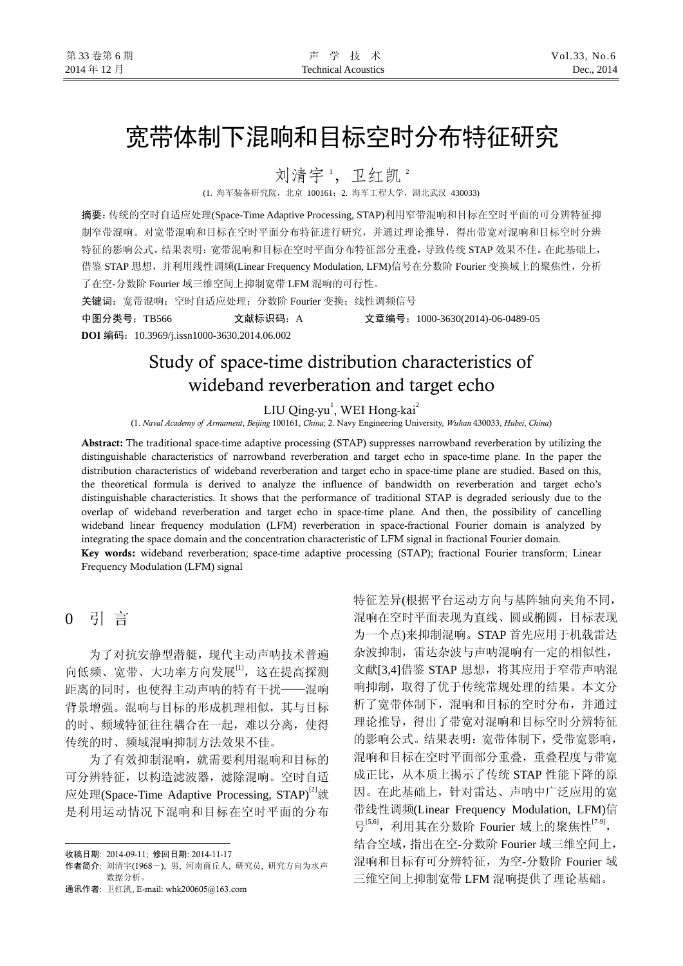# 宽带体制下混响和目标空时分布特征研究

刘清宇1, 卫红凯2

(1. 海军装备研究院,北京 100161;2. 海军工程大学,湖北武汉 430033)

摘要:传统的空时自适应处理(Space-Time Adaptive Processing, STAP)利用窄带混响和目标在空时平面的可分辨特征抑 制窄带混响。对宽带混响和目标在空时平面分布特征进行研究,并通过理论推导,得出带宽对混响和目标空时分辨 特征的影响公式。结果表明:宽带混响和目标在空时平面分布特征部分重叠,导致传统 STAP 效果不佳。在此基础上, 借鉴 STAP 思想,并利用线性调频(Linear Frequency Modulation, LFM)信号在分数阶 Fourier 变换域上的聚焦性,分析 了在空-分数阶 Fourier 域三维空间上抑制宽带 LFM 混响的可行性。

关键词: 宽带混响;空时自适应处理;分数阶 Fourier 变换;线性调频信号

中图分类号:TB566 文献标识码:A 文章编号:1000-3630(2014)-06-0489-05

**DOI** 编码:10.3969/j.issn1000-3630.2014.06.002

## Study of space-time distribution characteristics of wideband reverberation and target echo

LIU Qing-yu<sup>1</sup>, WEI Hong-kai<sup>2</sup>

(1. *Naval Academy of Armament*, *Beijing* 100161, *China*; 2. Navy Engineering University, *Wuhan* 430033, *Hubei*, *China*)

Abstract: The traditional space-time adaptive processing (STAP) suppresses narrowband reverberation by utilizing the distinguishable characteristics of narrowband reverberation and target echo in space-time plane. In the paper the distribution characteristics of wideband reverberation and target echo in space-time plane are studied. Based on this, the theoretical formula is derived to analyze the influence of bandwidth on reverberation and target echo's distinguishable characteristics. It shows that the performance of traditional STAP is degraded seriously due to the overlap of wideband reverberation and target echo in space-time plane. And then, the possibility of cancelling wideband linear frequency modulation (LFM) reverberation in space-fractional Fourier domain is analyzed by integrating the space domain and the concentration characteristic of LFM signal in fractional Fourier domain. Key words: wideband reverberation; space-time adaptive processing (STAP); fractional Fourier transform; Linear Frequency Modulation (LFM) signal

0 引 言

 $\overline{a}$ 

为了对抗安静型潜艇,现代主动声呐技术普遍 向低频、宽带、大功率方向发展[1],这在提高探测 距离的同时,也使得主动声呐的特有干扰——混响 背景增强。混响与目标的形成机理相似,其与目标 的时、频域特征往往耦合在一起,难以分离,使得 传统的时、频域混响抑制方法效果不佳。

为了有效抑制混响,就需要利用混响和目标的 可分辨特征,以构造滤波器,滤除混响。空时自适 应处理(Space-Time Adaptive Processing, STAP)<sup>[2]</sup>就 是利用运动情况下混响和目标在空时平面的分布

通讯作者: 卫红凯, E-mail: [whk200605@163.com](mailto:whk200605@163.com) 

特征差异(根据平台运动方向与基阵轴向夹角不同, 混响在空时平面表现为直线、圆或椭圆,目标表现 为一个点)来抑制混响。STAP 首先应用于机载雷达 杂波抑制,雷达杂波与声呐混响有一定的相似性, 文献[3,4]借鉴 STAP 思想, 将其应用于窄带声呐混 响抑制,取得了优于传统常规处理的结果。本文分 析了宽带体制下,混响和目标的空时分布,并通过 理论推导,得出了带宽对混响和目标空时分辨特征 的影响公式。结果表明:宽带体制下,受带宽影响, 混响和目标在空时平面部分重叠,重叠程度与带宽 成正比,从本质上揭示了传统 STAP 性能下降的原 因。在此基础上,针对雷达、声呐中广泛应用的宽 带线性调频(Linear Frequency Modulation, LFM)信 号<sup>[5,6]</sup>, 利用其在分数阶 Fourier 域上的聚焦性<sup>[7-9]</sup>, 结合空域,指出在空-分数阶 Fourier 域三维空间上, 混响和目标有可分辨特征,为空-分数阶 Fourier 域 三维空间上抑制宽带 LFM 混响提供了理论基础。

收稿日期: 2014-09-11; 修回日期: 2014-11-17

作者简介: 刘清宇(1968-), 男, 河南商丘人, 研究员, 研究方向为水声 数据分析。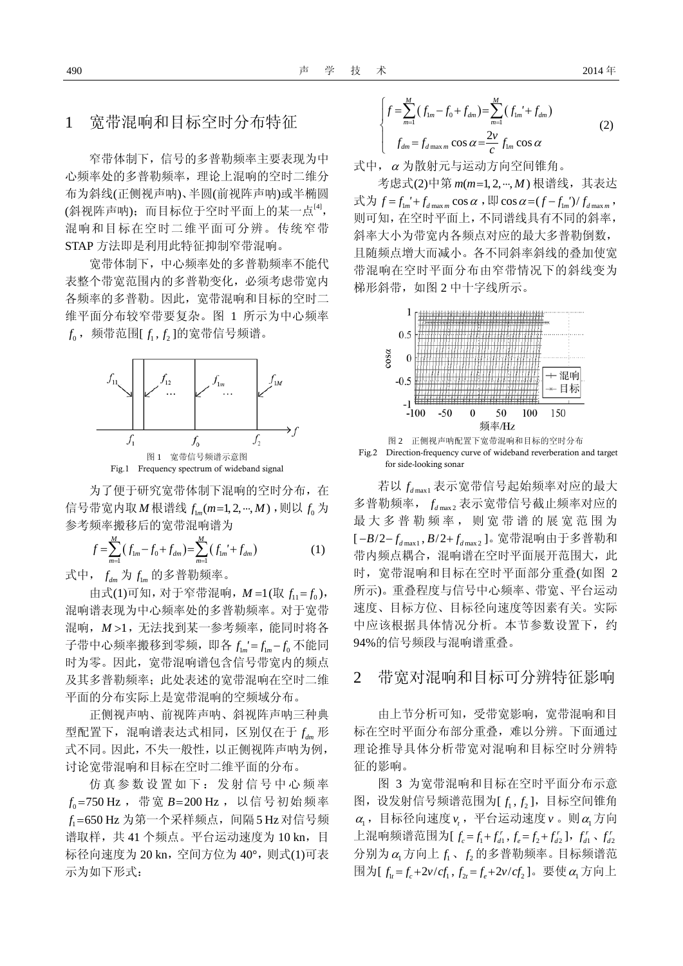### 1 宽带混响和目标空时分布特征

窄带体制下,信号的多普勒频率主要表现为中 心频率处的多普勒频率,理论上混响的空时二维分 布为斜线(正侧视声呐)、半圆(前视阵声呐)或半椭圆 (斜视阵声呐);而目标位于空时平面上的某一点<sup>[4]</sup>, 混响和目标在空时二维平面可分辨。传统窄带 STAP 方法即是利用此特征抑制窄带混响。

宽带体制下,中心频率处的多普勒频率不能代 表整个带宽范围内的多普勒变化,必须考虑带宽内 各频率的多普勒。因此,宽带混响和目标的空时二 维平面分布较窄带要复杂。图 1 所示为中心频率  $f_{\rm 0}$ ,频带范围[ $f_{\rm 1}$ , $f_{\rm 2}$ ]的宽带信号频谱。



为了便于研究宽带体制下混响的空时分布, 在 信号带宽内取 *M* 根谱线 f ... (m=1, 2, ..., *M*) , 则以 f 。为 参考频率搬移后的宽带混响谱为

$$
f = \sum_{m=1}^{M} (f_{1m} - f_0 + f_{dm}) = \sum_{m=1}^{M} (f_{1m}' + f_{dm})
$$
 (1)

式中,  $f_{dm}$  为  $f_{lm}$  的多普勒频率。

由式(1)可知, 对于窄带混响,  $M = 1$ (取 $f_{11} = f_0$ ), 混响谱表现为中心频率处的多普勒频率。对于宽带 混响, M > 1, 无法找到某一参考频率, 能同时将各 子带中心频率搬移到零频, 即各  $f_{1m} = f_{1m} - f_0$  不能同 时为零。因此,宽带混响谱包含信号带宽内的频点 及其多普勒频率;此处表述的宽带混响在空时二维 平面的分布实际上是宽带混响的空频域分布。

正侧视声呐、前视阵声呐、斜视阵声呐三种典 型配置下,混响谱表达式相同,区别仅在于  $f_{\text{dm}}$  形 式不同。因此,不失一般性,以正侧视阵声呐为例, 讨论宽带混响和目标在空时二维平面的分布。

仿真参数设置如下:发射信号中心频率  $f_{\rm 0}$ =750 Hz , 带宽 B=200 Hz , 以信号初始频率 *f*<sub>1</sub>=650 Hz 为第一个采样频点,间隔 5 Hz 对信号频 谱取样,共 41 个频点。平台运动速度为 10 kn,目 标径向速度为 20 kn,空间方位为 40°,则式(1)可表 示为如下形式:

$$
\begin{cases}\nf = \sum_{m=1}^{M} (f_{1m} - f_0 + f_{dm}) = \sum_{m=1}^{M} (f_{1m}' + f_{dm}) \\
f_{dm} = f_{d \max m} \cos \alpha = \frac{2\nu}{c} f_{1m} \cos \alpha\n\end{cases}
$$
\n(2)

式中,<sup>α</sup> 为散射元与运动方向空间锥角。

考虑式(2)中第 m(m=1,2,…,M) 根谱线, 其表达 式为  $f = f_{lm}' + f_{d \max m} \cos \alpha$ , 即  $\cos \alpha = (f - f_{lm}')/f_{d \max m}$ , 则可知,在空时平面上,不同谱线具有不同的斜率, 斜率大小为带宽内各频点对应的最大多普勒倒数, 且随频点增大而减小。各不同斜率斜线的叠加使宽 带混响在空时平面分布由窄带情况下的斜线变为 梯形斜带,如图 2 中十字线所示。



Fig.2 Direction-frequency curve of wideband reverberation and target for side-looking sonar

若以 $f_{d\max1}$ 表示宽带信号起始频率对应的最大 多普勒频率,  $f_{d\max}$  表示宽带信号截止频率对应的 最大多普勒频率,则宽带谱的展宽范围为 [-B/2-f<sub>d max1</sub>, B/2+f<sub>d max2</sub>]。宽带混响由于多普勒和 带内频点耦合,混响谱在空时平面展开范围大,此 时,宽带混响和目标在空时平面部分重叠(如图 2 所示)。重叠程度与信号中心频率、带宽、平台运动 速度、目标方位、目标径向速度等因素有关。实际 中应该根据具体情况分析。本节参数设置下,约 94%的信号频段与混响谱重叠。

#### 2 带宽对混响和目标可分辨特征影响

由上节分析可知,受带宽影响,宽带混响和目 标在空时平面分布部分重叠,难以分辨。下面通过 理论推导具体分析带宽对混响和目标空时分辨特 征的影响。

图 3 为宽带混响和目标在空时平面分布示意 图, 设发射信号频谱范围为[ $f_1, f_2$ ], 目标空间锥角  $\alpha_1$ , 目标径向速度  $\nu$ , 平台运动速度  $\nu$  。则 $\alpha_1$ 方向 上混响频谱范围为 $[f_c = f_1 + f_{d1}^r, f_e = f_2 + f_{d2}^r], f_{d1}^r, f_{d2}^r$  $\Theta$ 别为 $\alpha_1$ 方向上 $f_1$ 、 $f_2$ 的多普勒频率。目标频谱范 围为 $[f_t = f_c + 2v/cf_1, f_{2t} = f_c + 2v/cf_2]$ 。要使α<sub>1</sub>方向上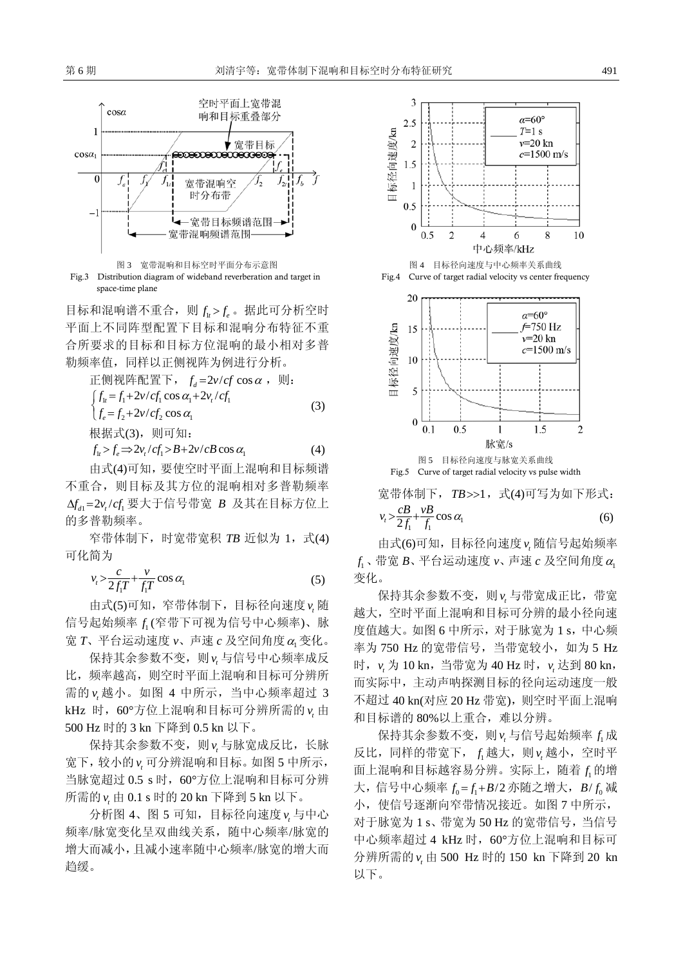



目标和混响谱不重合, 则 f<sub>i</sub> > f<sub>i</sub> 。据此可分析空时 平面上不同阵型配置下目标和混响分布特征不重 合所要求的目标和目标方位混响的最小相对多普 勒频率值,同样以正侧视阵为例进行分析。

$$
\mathbb{E}(\mathbb{W}) = \mathbb{E}(\mathbb{W}) = \mathbb{E}(\mathbb{W}) = \int f_u = f_1 + 2\nu / cf_1 \cos \alpha_1 + 2\nu_t / cf_1
$$
\n
$$
\int f_e = f_2 + 2\nu / cf_2 \cos \alpha_1
$$
\n
$$
\mathbb{W} = \mathbb{E}(\mathbb{W}) = \mathbb{E}(\mathbb{W}) = \mathbb{E}(\mathbb{W}) = \mathbb{E}(\mathbb{W}) = \mathbb{E}(\mathbb{W}) = \mathbb{E}(\mathbb{W}) = \mathbb{E}(\mathbb{W}) = \mathbb{E}(\mathbb{W}) = \mathbb{E}(\mathbb{W}) = \mathbb{E}(\mathbb{W}) = \mathbb{E}(\mathbb{W}) = \mathbb{E}(\mathbb{W}) = \mathbb{E}(\mathbb{W}) = \mathbb{E}(\mathbb{W}) = \mathbb{E}(\mathbb{W}) = \mathbb{E}(\mathbb{W}) = \mathbb{E}(\mathbb{W}) = \mathbb{E}(\mathbb{W}) = \mathbb{E}(\mathbb{W}) = \mathbb{E}(\mathbb{W}) = \mathbb{E}(\mathbb{W}) = \mathbb{E}(\mathbb{W}) = \mathbb{E}(\mathbb{W}) = \mathbb{E}(\mathbb{W}) = \mathbb{E}(\mathbb{W}) = \mathbb{E}(\mathbb{W}) = \mathbb{E}(\mathbb{W}) = \mathbb{E}(\mathbb{W}) = \mathbb{E}(\mathbb{W}) = \mathbb{E}(\mathbb{W}) = \mathbb{E}(\mathbb{W}) = \mathbb{E}(\mathbb{W}) = \mathbb{E}(\mathbb{W}) = \mathbb{E}(\mathbb{W}) = \mathbb{E}(\mathbb{W}) = \mathbb{E}(\mathbb{W}) = \mathbb{E}(\mathbb{W}) = \mathbb{E}(\mathbb{W}) = \mathbb{E}(\mathbb{W}) = \mathbb{E}(\mathbb{W}) = \mathbb{E}(\mathbb{W}) = \mathbb{E}(\mathbb{W}) = \mathbb{E}(\mathbb{W}) = \mathbb{E}(\mathbb{W}) = \mathbb{E}(\mathbb{W}) = \mathbb{E}(\mathbb{W}) = \mathbb{E}(\mathbb{W}) = \mathbb{E}(\mathbb{W}) = \mathbb{E}(\mathbb{W}) = \math
$$

$$
f_{1t} > f_e \Longrightarrow 2v_t / cf_1 > B + 2v / cB \cos \alpha_1 \tag{4}
$$

由式(4)可知,要使空时平面上混响和目标频谱 不重合,则目标及其方位的混响相对多普勒频率  $\Delta f_n = 2\nu$ ./cf. 要大于信号带宽 Β 及其在目标方位上 的多普勒频率。

窄带体制下,时宽带宽积 TB 近似为 1, 式(4) 可化简为

$$
v_t > \frac{c}{2f_1T} + \frac{v}{f_1T} \cos \alpha_1 \tag{5}
$$

由式(5)可知, 窄带体制下, 目标径向速度 v<sub>1</sub>随 信号起始频率 1 *f* (窄带下可视为信号中心频率)、脉 宽 *T*、平台运动速度 ν、声速 c 及空间角度 α 变化。

保持其余参数不变,则 v<sub>r</sub> 与信号中心频率成反 比,频率越高,则空时平面上混响和目标可分辨所 需的 ν<sub>ι</sub> 越小。如图 4 中所示, 当中心频率超过 3 kHz 时,60°方位上混响和目标可分辨所需的 由 *t v* 500 Hz 时的 3 kn 下降到 0.5 kn 以下。

保持其余参数不变,则 v<sub>ι</sub> 与脉宽成反比,长脉 宽下,较小的 v<sub>t</sub> 可分辨混响和目标。如图 5 中所示, 当脉宽超过 0.5 s 时, 60°方位上混响和目标可分辨 所需的 由 0.1 s 时的 20 kn 下降到 5 kn 以下。 *t v*

分析图 4、图 5 可知,目标径向速度 与中心 *t v* 频率/脉宽变化呈双曲线关系,随中心频率/脉宽的 增大而减小,且减小速率随中心频率/脉宽的增大而 趋缓。



宽带体制下, TB>>1, 式(4)可写为如下形式:  $v_t > \frac{c}{2f_1} + \frac{vB}{f_1} \cos \alpha_1$  (6)

由式(6)可知, 目标径向速度 ν 随信号起始频率  $f_{\text{l}}$ 、带宽  $B$ 、平台运动速度  $\nu$ 、声速  $c$  及空间角度  $\alpha_{\text{l}}$ 变化。

保持其余参数不变,则 v<sub>t</sub> 与带宽成正比,带宽 越大,空时平面上混响和目标可分辨的最小径向速 度值越大。如图 6 中所示, 对于脉宽为 1 s, 中心频 率为 750 Hz 的宽带信号, 当带宽较小, 如为 5 Hz 时, v<sub>t</sub> 为 10 kn, 当带宽为 40 Hz 时, v<sub>t</sub> 达到 80 kn, 而实际中,主动声呐探测目标的径向运动速度一般 不超过 40 kn(对应 20 Hz 带宽), 则空时平面上混响 和目标谱的 80%以上重合,难以分辨。

保持其余参数不变, 则  $v_t$  与信号起始频率  $f_1$ 成 反比,同样的带宽下, f 越大, 则 v 越小, 空时平 面上混响和目标越容易分辨。实际上, 随着 f1的增 大,信号中心频率  $f_0 = f_1 + B/2$  亦随之增大,  $B/f_0$  减 小,使信号逐渐向窄带情况接近。如图 7 中所示, 对于脉宽为 1 s、带宽为 50 Hz 的宽带信号,当信号 中心频率超过 4 kHz 时, 60°方位上混响和目标可 分辨所需的 *v*<sub>t</sub> 由 500 Hz 时的 150 kn 下降到 20 kn 以下。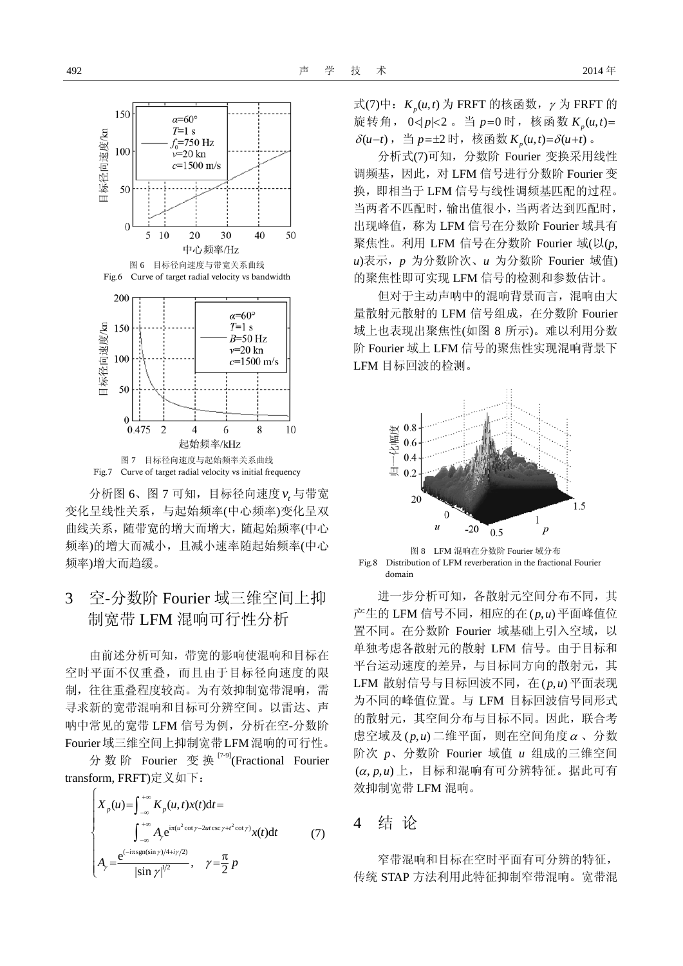

分析图 6、图 7 可知,目标径向速度 与带宽 *t v* 变化呈线性关系,与起始频率(中心频率)变化呈双 曲线关系,随带宽的增大而增大,随起始频率(中心 频率)的增大而减小,且减小速率随起始频率(中心 频率)增大而趋缓。

## 3 空-分数阶 Fourier 域三维空间上抑 制宽带 LFM 混响可行性分析

由前述分析可知,带宽的影响使混响和目标在 空时平面不仅重叠,而且由于目标径向速度的限 制,往往重叠程度较高。为有效抑制宽带混响,需 寻求新的宽带混响和目标可分辨空间。以雷达、声 呐中常见的宽带 LFM 信号为例,分析在空-分数阶 Fourier域三维空间上抑制宽带LFM混响的可行性。

分数阶 Fourier 变 换 [7-9](Fractional Fourier transform, FRFT)定义如下:

> $i\pi(u^2 \cot\gamma - 2ut \csc\gamma + t^2 \cot\gamma)$  $\left( -i\pi \operatorname{sgn}(\sin\gamma)/4 + i\gamma/2 \right)$  $1/2$  $X_p(u) = \int_{-\infty}^{+\infty} K_p(u, t)x(t)dt$  $A_{\varphi}e^{i\pi(u^2\cot\gamma-2ut\csc\gamma+t^2\cot\gamma)}x(t)dt$  $\frac{e^{(-i\pi sgn(\sin\gamma)/4+i\gamma/2)}}{|\sin\gamma|^{1/2}}, \quad \gamma = \frac{\pi}{2}$  $u^2$  cot  $\gamma$  –  $2ut$  csc  $\gamma$  +1 *i*  $A_{\scriptscriptstyle\gamma} e^{\mathrm{i}\pi(u^2\cot\gamma-2ut\csc\gamma+t^2\cot\gamma)}x(t)\mathrm{d}t$  $A_{\gamma} = \frac{e}{\sqrt{2\pi}} \frac{1}{2}$ ,  $\gamma = \frac{\pi}{2} p$  $\psi e^{\mathrm{i}\pi(u^-\cot\gamma-2ut\csc\gamma+t^-\cot\gamma)}$  $\gamma$ )/4+ $\iota\gamma$  $q_{\gamma} = \frac{|\sin \gamma|^{1/2}}{|\sin \gamma|^{1/2}}, \quad \gamma$ −∞  $^{+\infty}$  A  $^{\pi(u^2 \cot \gamma - 2ut \csc \gamma +}$ −∞  $-i\pi$  sgn(sin  $\gamma$ )/4+  $X_p(u) = \int_{-\infty}^{+\infty} K_p(u, t)x(t)dt =$  $\Big\}$  $\frac{1}{2}$  $A_{\gamma} = \frac{e^{(-i\pi sgn(\sin\gamma)/4 + i\gamma/2)}}{|\sin\gamma|^{1/2}}, \quad \gamma = \frac{\pi}{2}$  $\int_{-\infty}^{\infty} A_{\gamma} e^{i\pi(u^2 \cot \gamma - 2ut \csc \gamma + t^2 \cot \gamma)} x(t) dt$  (7)

式(7)中:  $K_n(u,t)$ 为 FRFT 的核函数,  $\gamma$  为 FRFT 的 旋转角,  $0 < |p| < 2$ . 当  $p = 0$  时, 核函数  $K_n(u,t) =$  $\delta(u-t)$ , 当  $p=\pm 2$ 时, 核函数  $K_n(u,t) = \delta(u+t)$  。

分析式(7)可知,分数阶 Fourier 变换采用线性 调频基,因此,对 LFM 信号进行分数阶 Fourier 变 换,即相当于 LFM 信号与线性调频基匹配的过程。 当两者不匹配时,输出值很小,当两者达到匹配时, 出现峰值,称为 LFM 信号在分数阶 Fourier 域具有 聚焦性。利用 LFM 信号在分数阶 Fourier 域(以(*p*, *u*)表示,*p* 为分数阶次、*u* 为分数阶 Fourier 域值) 的聚焦性即可实现 LFM 信号的检测和参数估计。

但对于主动声呐中的混响背景而言,混响由大 量散射元散射的 LFM 信号组成,在分数阶 Fourier 域上也表现出聚焦性(如图 8 所示)。难以利用分数 阶 Fourier 域上 LFM 信号的聚焦性实现混响背景下 LFM 目标回波的检测。



图 8 LFM 混响在分数阶 Fourier 域分布 Fig.8 Distribution of LFM reverberation in the fractional Fourier domain

进一步分析可知,各散射元空间分布不同,其 产生的 LFM 信号不同, 相应的在(p,u) 平面峰值位 置不同。在分数阶 Fourier 域基础上引入空域, 以 单独考虑各散射元的散射 LFM 信号。由于目标和 平台运动速度的差异,与目标同方向的散射元,其 LFM 散射信号与目标回波不同, 在(p,u)平面表现 为不同的峰值位置。与 LFM 目标回波信号同形式 的散射元,其空间分布与目标不同。因此,联合考 虑空域及( $p, u$ ) 二维平面, 则在空间角度 α、分数 阶次 *p*、分数阶 Fourier 域值 *u* 组成的三维空间 (α, p, u) 上, 目标和混响有可分辨特征。据此可有 效抑制宽带 LFM 混响。

### 4 结 论

窄带混响和目标在空时平面有可分辨的特征, 传统 STAP 方法利用此特征抑制窄带混响。宽带混